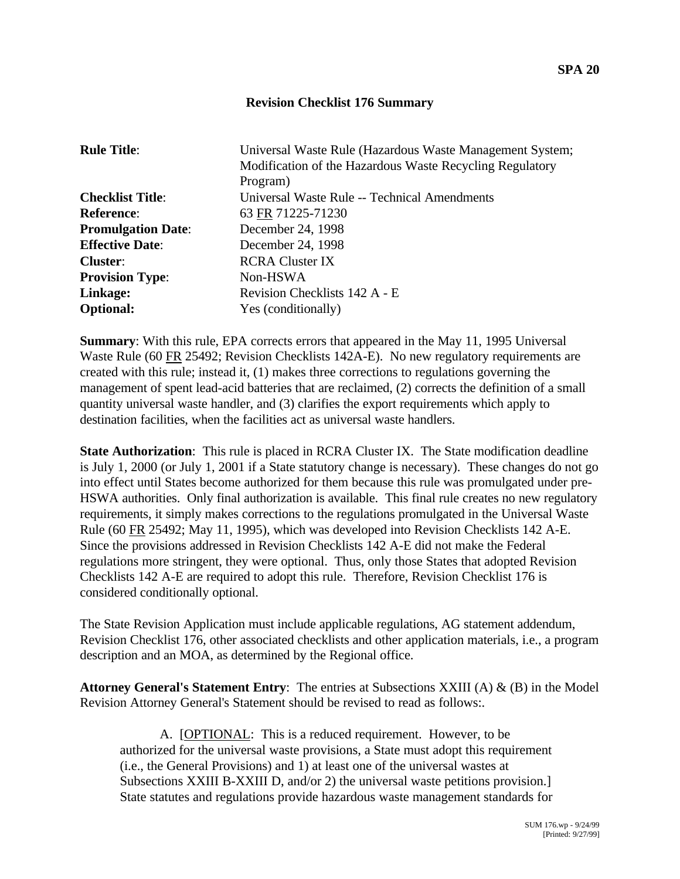## **Revision Checklist 176 Summary**

| <b>Rule Title:</b>        | Universal Waste Rule (Hazardous Waste Management System;<br>Modification of the Hazardous Waste Recycling Regulatory<br>Program) |
|---------------------------|----------------------------------------------------------------------------------------------------------------------------------|
| <b>Checklist Title:</b>   | Universal Waste Rule -- Technical Amendments                                                                                     |
| <b>Reference:</b>         | 63 FR 71225-71230                                                                                                                |
| <b>Promulgation Date:</b> | December 24, 1998                                                                                                                |
| <b>Effective Date:</b>    | December 24, 1998                                                                                                                |
| <b>Cluster:</b>           | <b>RCRA Cluster IX</b>                                                                                                           |
| <b>Provision Type:</b>    | Non-HSWA                                                                                                                         |
| Linkage:                  | Revision Checklists 142 A - E                                                                                                    |
| <b>Optional:</b>          | Yes (conditionally)                                                                                                              |

**Summary**: With this rule, EPA corrects errors that appeared in the May 11, 1995 Universal Waste Rule (60 FR 25492; Revision Checklists 142A-E). No new regulatory requirements are created with this rule; instead it, (1) makes three corrections to regulations governing the management of spent lead-acid batteries that are reclaimed, (2) corrects the definition of a small quantity universal waste handler, and (3) clarifies the export requirements which apply to destination facilities, when the facilities act as universal waste handlers.

**State Authorization**: This rule is placed in RCRA Cluster IX. The State modification deadline is July 1, 2000 (or July 1, 2001 if a State statutory change is necessary). These changes do not go into effect until States become authorized for them because this rule was promulgated under pre-HSWA authorities. Only final authorization is available. This final rule creates no new regulatory requirements, it simply makes corrections to the regulations promulgated in the Universal Waste Rule (60 FR 25492; May 11, 1995), which was developed into Revision Checklists 142 A-E. Since the provisions addressed in Revision Checklists 142 A-E did not make the Federal regulations more stringent, they were optional. Thus, only those States that adopted Revision Checklists 142 A-E are required to adopt this rule. Therefore, Revision Checklist 176 is considered conditionally optional.

The State Revision Application must include applicable regulations, AG statement addendum, Revision Checklist 176, other associated checklists and other application materials, i.e., a program description and an MOA, as determined by the Regional office.

**Attorney General's Statement Entry**: The entries at Subsections XXIII (A) & (B) in the Model Revision Attorney General's Statement should be revised to read as follows:.

A. [OPTIONAL: This is a reduced requirement. However, to be authorized for the universal waste provisions, a State must adopt this requirement (i.e., the General Provisions) and 1) at least one of the universal wastes at Subsections XXIII B-XXIII D, and/or 2) the universal waste petitions provision.] State statutes and regulations provide hazardous waste management standards for